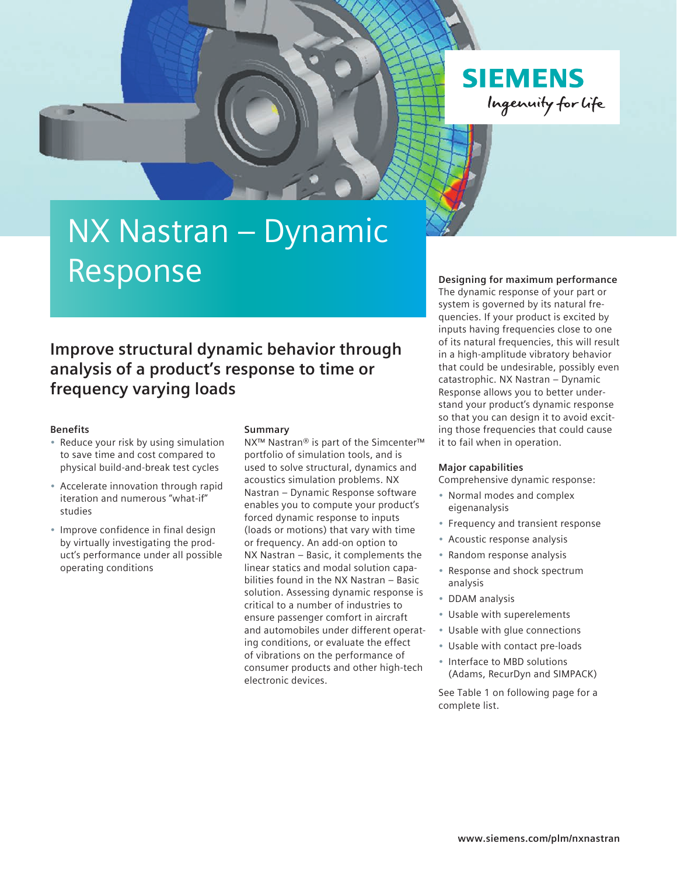

# NX Nastran – Dynamic Response

### **Improve structural dynamic behavior through analysis of a product's response to time or frequency varying loads**

#### **Benefits**

- Reduce your risk by using simulation to save time and cost compared to physical build-and-break test cycles
- Accelerate innovation through rapid iteration and numerous "what-if" studies
- Improve confidence in final design by virtually investigating the product's performance under all possible operating conditions

#### **Summary**

NX™ Nastran® is part of the Simcenter™ portfolio of simulation tools, and is used to solve structural, dynamics and acoustics simulation problems. NX Nastran – Dynamic Response software enables you to compute your product's forced dynamic response to inputs (loads or motions) that vary with time or frequency. An add-on option to NX Nastran – Basic, it complements the linear statics and modal solution capabilities found in the NX Nastran – Basic solution. Assessing dynamic response is critical to a number of industries to ensure passenger comfort in aircraft and automobiles under different operating conditions, or evaluate the effect of vibrations on the performance of consumer products and other high-tech electronic devices.

#### **Designing for maximum performance**

The dynamic response of your part or system is governed by its natural frequencies. If your product is excited by inputs having frequencies close to one of its natural frequencies, this will result in a high-amplitude vibratory behavior that could be undesirable, possibly even catastrophic. NX Nastran – Dynamic Response allows you to better understand your product's dynamic response so that you can design it to avoid exciting those frequencies that could cause it to fail when in operation.

#### **Major capabilities**

Comprehensive dynamic response:

- Normal modes and complex eigenanalysis
- Frequency and transient response
- Acoustic response analysis
- Random response analysis
- Response and shock spectrum analysis
- DDAM analysis
- Usable with superelements
- Usable with glue connections
- Usable with contact pre-loads
- Interface to MBD solutions (Adams, RecurDyn and SIMPACK)

See Table 1 on following page for a complete list.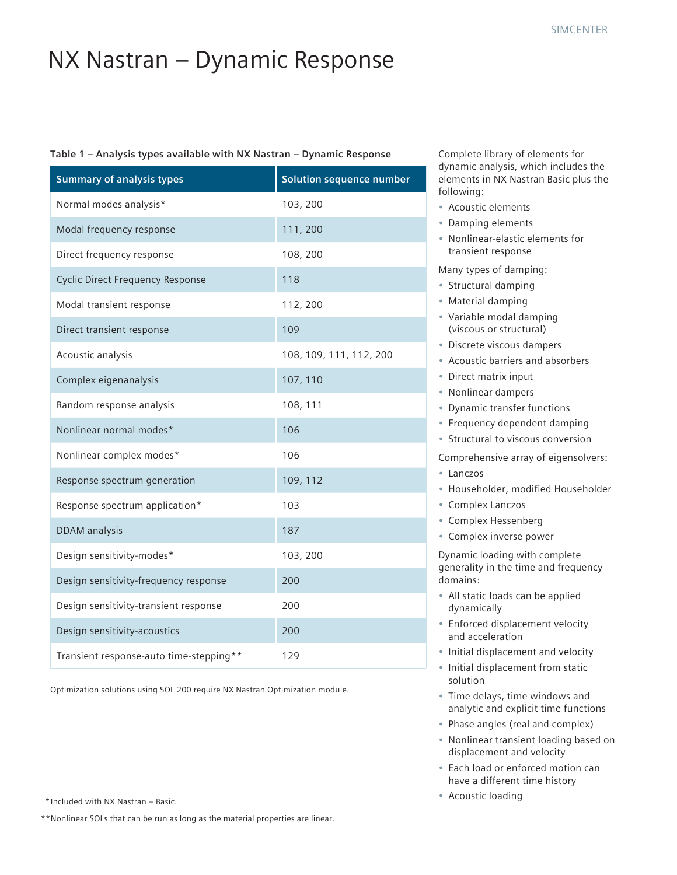## NX Nastran – Dynamic Response

#### **Table 1 – Analysis types available with NX Nastran – Dynamic Response**

| <b>Summary of analysis types</b>        | <b>Solution sequence number</b> |
|-----------------------------------------|---------------------------------|
| Normal modes analysis*                  | 103, 200                        |
| Modal frequency response                | 111, 200                        |
| Direct frequency response               | 108, 200                        |
| <b>Cyclic Direct Frequency Response</b> | 118                             |
| Modal transient response                | 112, 200                        |
| Direct transient response               | 109                             |
| Acoustic analysis                       | 108, 109, 111, 112, 200         |
| Complex eigenanalysis                   | 107, 110                        |
| Random response analysis                | 108, 111                        |
| Nonlinear normal modes*                 | 106                             |
| Nonlinear complex modes*                | 106                             |
| Response spectrum generation            | 109, 112                        |
| Response spectrum application*          | 103                             |
| <b>DDAM</b> analysis                    | 187                             |
| Design sensitivity-modes*               | 103, 200                        |
| Design sensitivity-frequency response   | 200                             |
| Design sensitivity-transient response   | 200                             |
| Design sensitivity-acoustics            | 200                             |
| Transient response-auto time-stepping** | 129                             |

Optimization solutions using SOL 200 require NX Nastran Optimization module.

Complete library of elements for dynamic analysis, which includes the elements in NX Nastran Basic plus the following:

- Acoustic elements
- Damping elements
- Nonlinear-elastic elements for transient response

Many types of damping:

- Structural damping
- Material damping
- Variable modal damping (viscous or structural)
- Discrete viscous dampers
- Acoustic barriers and absorbers
- Direct matrix input
- Nonlinear dampers
- Dynamic transfer functions
- Frequency dependent damping
- Structural to viscous conversion

Comprehensive array of eigensolvers:

- Lanczos
- Householder, modified Householder
- Complex Lanczos
- Complex Hessenberg
- Complex inverse power

Dynamic loading with complete generality in the time and frequency domains:

- All static loads can be applied dynamically
- Enforced displacement velocity and acceleration
- Initial displacement and velocity
- Initial displacement from static solution
- Time delays, time windows and analytic and explicit time functions
- Phase angles (real and complex)
- Nonlinear transient loading based on displacement and velocity
- Each load or enforced motion can have a different time history
- Acoustic loading

\* Included with NX Nastran – Basic.

\*\*Nonlinear SOLs that can be run as long as the material properties are linear.